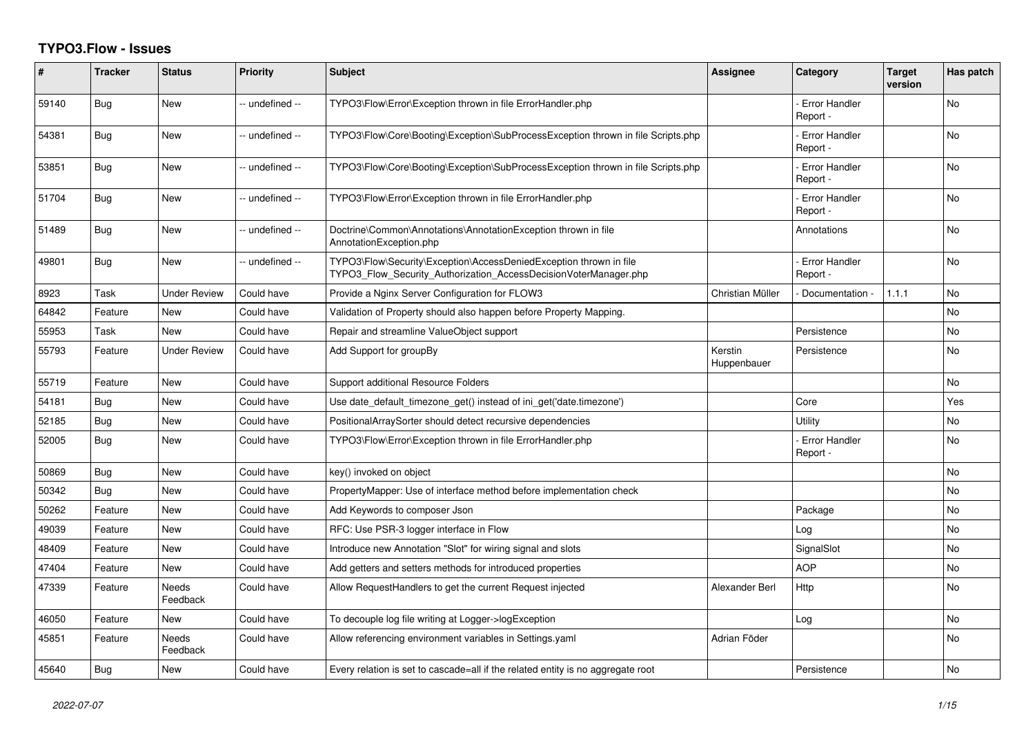## **TYPO3.Flow - Issues**

| #     | <b>Tracker</b> | <b>Status</b>            | <b>Priority</b> | <b>Subject</b>                                                                                                                         | <b>Assignee</b>        | Category                         | <b>Target</b><br>version | Has patch      |
|-------|----------------|--------------------------|-----------------|----------------------------------------------------------------------------------------------------------------------------------------|------------------------|----------------------------------|--------------------------|----------------|
| 59140 | Bug            | <b>New</b>               | -- undefined -- | TYPO3\Flow\Error\Exception thrown in file ErrorHandler.php                                                                             |                        | <b>Error Handler</b><br>Report - |                          | <b>No</b>      |
| 54381 | Bug            | New                      | -- undefined -- | TYPO3\Flow\Core\Booting\Exception\SubProcessException thrown in file Scripts.php                                                       |                        | <b>Error Handler</b><br>Report - |                          | No             |
| 53851 | Bug            | <b>New</b>               | -- undefined -- | TYPO3\Flow\Core\Booting\Exception\SubProcessException thrown in file Scripts.php                                                       |                        | <b>Error Handler</b><br>Report - |                          | <b>No</b>      |
| 51704 | Bug            | <b>New</b>               | -- undefined -- | TYPO3\Flow\Error\Exception thrown in file ErrorHandler.php                                                                             |                        | <b>Error Handler</b><br>Report - |                          | <b>No</b>      |
| 51489 | Bug            | New                      | -- undefined -- | Doctrine\Common\Annotations\AnnotationException thrown in file<br>AnnotationException.php                                              |                        | Annotations                      |                          | No             |
| 49801 | <b>Bug</b>     | <b>New</b>               | -- undefined -- | TYPO3\Flow\Security\Exception\AccessDeniedException thrown in file<br>TYPO3 Flow Security Authorization AccessDecisionVoterManager.php |                        | <b>Error Handler</b><br>Report - |                          | <b>No</b>      |
| 8923  | Task           | <b>Under Review</b>      | Could have      | Provide a Nginx Server Configuration for FLOW3                                                                                         | Christian Müller       | Documentation                    | 1.1.1                    | No             |
| 64842 | Feature        | <b>New</b>               | Could have      | Validation of Property should also happen before Property Mapping.                                                                     |                        |                                  |                          | <b>No</b>      |
| 55953 | Task           | <b>New</b>               | Could have      | Repair and streamline ValueObject support                                                                                              |                        | Persistence                      |                          | <b>No</b>      |
| 55793 | Feature        | <b>Under Review</b>      | Could have      | Add Support for groupBy                                                                                                                | Kerstin<br>Huppenbauer | Persistence                      |                          | No             |
| 55719 | Feature        | <b>New</b>               | Could have      | Support additional Resource Folders                                                                                                    |                        |                                  |                          | <b>No</b>      |
| 54181 | Bug            | New                      | Could have      | Use date default timezone get() instead of ini get('date.timezone')                                                                    |                        | Core                             |                          | Yes            |
| 52185 | Bug            | New                      | Could have      | PositionalArraySorter should detect recursive dependencies                                                                             |                        | Utility                          |                          | No             |
| 52005 | Bug            | New                      | Could have      | TYPO3\Flow\Error\Exception thrown in file ErrorHandler.php                                                                             |                        | <b>Error Handler</b><br>Report - |                          | <b>No</b>      |
| 50869 | Bug            | New                      | Could have      | key() invoked on object                                                                                                                |                        |                                  |                          | No             |
| 50342 | Bug            | New                      | Could have      | PropertyMapper: Use of interface method before implementation check                                                                    |                        |                                  |                          | <b>No</b>      |
| 50262 | Feature        | New                      | Could have      | Add Keywords to composer Json                                                                                                          |                        | Package                          |                          | No             |
| 49039 | Feature        | New                      | Could have      | RFC: Use PSR-3 logger interface in Flow                                                                                                |                        | Log                              |                          | No             |
| 48409 | Feature        | New                      | Could have      | Introduce new Annotation "Slot" for wiring signal and slots                                                                            |                        | SignalSlot                       |                          | <b>No</b>      |
| 47404 | Feature        | New                      | Could have      | Add getters and setters methods for introduced properties                                                                              |                        | <b>AOP</b>                       |                          | No             |
| 47339 | Feature        | <b>Needs</b><br>Feedback | Could have      | Allow RequestHandlers to get the current Request injected                                                                              | Alexander Berl         | Http                             |                          | <b>No</b>      |
| 46050 | Feature        | New                      | Could have      | To decouple log file writing at Logger->logException                                                                                   |                        | Log                              |                          | <b>No</b>      |
| 45851 | Feature        | Needs<br>Feedback        | Could have      | Allow referencing environment variables in Settings.yaml                                                                               | Adrian Föder           |                                  |                          | No             |
| 45640 | Bug            | <b>New</b>               | Could have      | Every relation is set to cascade=all if the related entity is no aggregate root                                                        |                        | Persistence                      |                          | N <sub>o</sub> |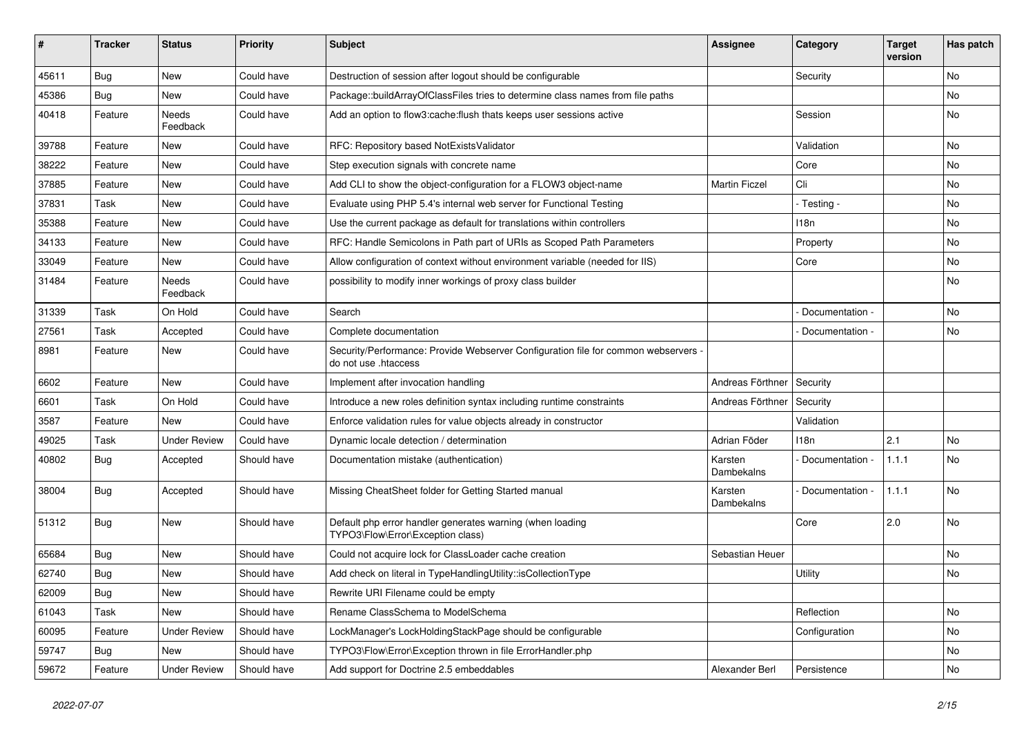| ∦     | <b>Tracker</b> | <b>Status</b>       | <b>Priority</b> | <b>Subject</b>                                                                                             | <b>Assignee</b>       | Category        | <b>Target</b><br>version | Has patch |
|-------|----------------|---------------------|-----------------|------------------------------------------------------------------------------------------------------------|-----------------------|-----------------|--------------------------|-----------|
| 45611 | Bug            | New                 | Could have      | Destruction of session after logout should be configurable                                                 |                       | Security        |                          | No        |
| 45386 | Bug            | New                 | Could have      | Package::buildArrayOfClassFiles tries to determine class names from file paths                             |                       |                 |                          | No        |
| 40418 | Feature        | Needs<br>Feedback   | Could have      | Add an option to flow3:cache: flush thats keeps user sessions active                                       |                       | Session         |                          | No        |
| 39788 | Feature        | New                 | Could have      | RFC: Repository based NotExistsValidator                                                                   |                       | Validation      |                          | No        |
| 38222 | Feature        | <b>New</b>          | Could have      | Step execution signals with concrete name                                                                  |                       | Core            |                          | <b>No</b> |
| 37885 | Feature        | New                 | Could have      | Add CLI to show the object-configuration for a FLOW3 object-name                                           | <b>Martin Ficzel</b>  | Cli             |                          | No        |
| 37831 | Task           | New                 | Could have      | Evaluate using PHP 5.4's internal web server for Functional Testing                                        |                       | - Testing -     |                          | No        |
| 35388 | Feature        | New                 | Could have      | Use the current package as default for translations within controllers                                     |                       | 118n            |                          | No        |
| 34133 | Feature        | New                 | Could have      | RFC: Handle Semicolons in Path part of URIs as Scoped Path Parameters                                      |                       | Property        |                          | No        |
| 33049 | Feature        | New                 | Could have      | Allow configuration of context without environment variable (needed for IIS)                               |                       | Core            |                          | <b>No</b> |
| 31484 | Feature        | Needs<br>Feedback   | Could have      | possibility to modify inner workings of proxy class builder                                                |                       |                 |                          | No        |
| 31339 | Task           | On Hold             | Could have      | Search                                                                                                     |                       | Documentation - |                          | <b>No</b> |
| 27561 | Task           | Accepted            | Could have      | Complete documentation                                                                                     |                       | Documentation - |                          | No        |
| 8981  | Feature        | New                 | Could have      | Security/Performance: Provide Webserver Configuration file for common webservers -<br>do not use .htaccess |                       |                 |                          |           |
| 6602  | Feature        | <b>New</b>          | Could have      | Implement after invocation handling                                                                        | Andreas Förthner      | Security        |                          |           |
| 6601  | Task           | On Hold             | Could have      | Introduce a new roles definition syntax including runtime constraints                                      | Andreas Förthner      | Security        |                          |           |
| 3587  | Feature        | <b>New</b>          | Could have      | Enforce validation rules for value objects already in constructor                                          |                       | Validation      |                          |           |
| 49025 | Task           | <b>Under Review</b> | Could have      | Dynamic locale detection / determination                                                                   | Adrian Föder          | 118n            | 2.1                      | <b>No</b> |
| 40802 | Bug            | Accepted            | Should have     | Documentation mistake (authentication)                                                                     | Karsten<br>Dambekalns | Documentation - | 1.1.1                    | No        |
| 38004 | Bug            | Accepted            | Should have     | Missing CheatSheet folder for Getting Started manual                                                       | Karsten<br>Dambekalns | Documentation - | 1.1.1                    | No        |
| 51312 | Bug            | New                 | Should have     | Default php error handler generates warning (when loading<br>TYPO3\Flow\Error\Exception class)             |                       | Core            | 2.0                      | <b>No</b> |
| 65684 | Bug            | New                 | Should have     | Could not acquire lock for ClassLoader cache creation                                                      | Sebastian Heuer       |                 |                          | No        |
| 62740 | Bug            | New                 | Should have     | Add check on literal in TypeHandlingUtility::isCollectionType                                              |                       | Utility         |                          | No        |
| 62009 | <b>Bug</b>     | <b>New</b>          | Should have     | Rewrite URI Filename could be empty                                                                        |                       |                 |                          |           |
| 61043 | Task           | New                 | Should have     | Rename ClassSchema to ModelSchema                                                                          |                       | Reflection      |                          | No        |
| 60095 | Feature        | <b>Under Review</b> | Should have     | LockManager's LockHoldingStackPage should be configurable                                                  |                       | Configuration   |                          | No        |
| 59747 | <b>Bug</b>     | New                 | Should have     | TYPO3\Flow\Error\Exception thrown in file ErrorHandler.php                                                 |                       |                 |                          | No        |
| 59672 | Feature        | <b>Under Review</b> | Should have     | Add support for Doctrine 2.5 embeddables                                                                   | Alexander Berl        | Persistence     |                          | No        |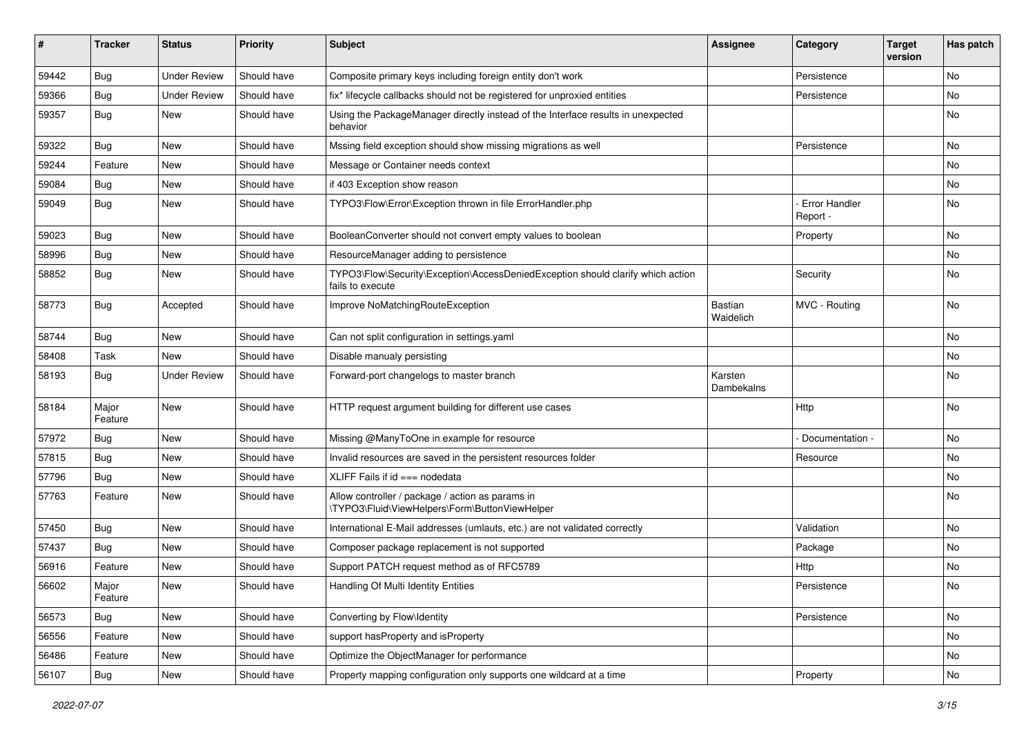| ∦     | <b>Tracker</b>   | <b>Status</b>       | <b>Priority</b> | <b>Subject</b>                                                                                      | <b>Assignee</b>             | Category                         | <b>Target</b><br>version | Has patch |
|-------|------------------|---------------------|-----------------|-----------------------------------------------------------------------------------------------------|-----------------------------|----------------------------------|--------------------------|-----------|
| 59442 | Bug              | <b>Under Review</b> | Should have     | Composite primary keys including foreign entity don't work                                          |                             | Persistence                      |                          | No        |
| 59366 | <b>Bug</b>       | <b>Under Review</b> | Should have     | fix* lifecycle callbacks should not be registered for unproxied entities                            |                             | Persistence                      |                          | No        |
| 59357 | <b>Bug</b>       | New                 | Should have     | Using the PackageManager directly instead of the Interface results in unexpected<br>behavior        |                             |                                  |                          | No        |
| 59322 | <b>Bug</b>       | New                 | Should have     | Mssing field exception should show missing migrations as well                                       |                             | Persistence                      |                          | No        |
| 59244 | Feature          | New                 | Should have     | Message or Container needs context                                                                  |                             |                                  |                          | No        |
| 59084 | <b>Bug</b>       | New                 | Should have     | if 403 Exception show reason                                                                        |                             |                                  |                          | No        |
| 59049 | <b>Bug</b>       | New                 | Should have     | TYPO3\Flow\Error\Exception thrown in file ErrorHandler.php                                          |                             | <b>Error Handler</b><br>Report - |                          | No        |
| 59023 | <b>Bug</b>       | New                 | Should have     | BooleanConverter should not convert empty values to boolean                                         |                             | Property                         |                          | No        |
| 58996 | <b>Bug</b>       | New                 | Should have     | ResourceManager adding to persistence                                                               |                             |                                  |                          | No        |
| 58852 | Bug              | New                 | Should have     | TYPO3\Flow\Security\Exception\AccessDeniedException should clarify which action<br>fails to execute |                             | Security                         |                          | No        |
| 58773 | <b>Bug</b>       | Accepted            | Should have     | Improve NoMatchingRouteException                                                                    | <b>Bastian</b><br>Waidelich | MVC - Routing                    |                          | No        |
| 58744 | <b>Bug</b>       | New                 | Should have     | Can not split configuration in settings.yaml                                                        |                             |                                  |                          | No        |
| 58408 | Task             | New                 | Should have     | Disable manualy persisting                                                                          |                             |                                  |                          | No        |
| 58193 | <b>Bug</b>       | <b>Under Review</b> | Should have     | Forward-port changelogs to master branch                                                            | Karsten<br>Dambekalns       |                                  |                          | No        |
| 58184 | Major<br>Feature | New                 | Should have     | HTTP request argument building for different use cases                                              |                             | Http                             |                          | No        |
| 57972 | <b>Bug</b>       | New                 | Should have     | Missing @ManyToOne in example for resource                                                          |                             | Documentation -                  |                          | No        |
| 57815 | <b>Bug</b>       | New                 | Should have     | Invalid resources are saved in the persistent resources folder                                      |                             | Resource                         |                          | No        |
| 57796 | <b>Bug</b>       | New                 | Should have     | XLIFF Fails if $id ==$ nodedata                                                                     |                             |                                  |                          | No        |
| 57763 | Feature          | New                 | Should have     | Allow controller / package / action as params in<br>\TYPO3\Fluid\ViewHelpers\Form\ButtonViewHelper  |                             |                                  |                          | No        |
| 57450 | <b>Bug</b>       | New                 | Should have     | International E-Mail addresses (umlauts, etc.) are not validated correctly                          |                             | Validation                       |                          | No        |
| 57437 | <b>Bug</b>       | New                 | Should have     | Composer package replacement is not supported                                                       |                             | Package                          |                          | No        |
| 56916 | Feature          | New                 | Should have     | Support PATCH request method as of RFC5789                                                          |                             | Http                             |                          | No        |
| 56602 | Major<br>Feature | New                 | Should have     | Handling Of Multi Identity Entities                                                                 |                             | Persistence                      |                          | No        |
| 56573 | Bug              | New                 | Should have     | Converting by Flow\Identity                                                                         |                             | Persistence                      |                          | No        |
| 56556 | Feature          | New                 | Should have     | support has Property and is Property                                                                |                             |                                  |                          | No        |
| 56486 | Feature          | New                 | Should have     | Optimize the ObjectManager for performance                                                          |                             |                                  |                          | No        |
| 56107 | <b>Bug</b>       | New                 | Should have     | Property mapping configuration only supports one wildcard at a time                                 |                             | Property                         |                          | No        |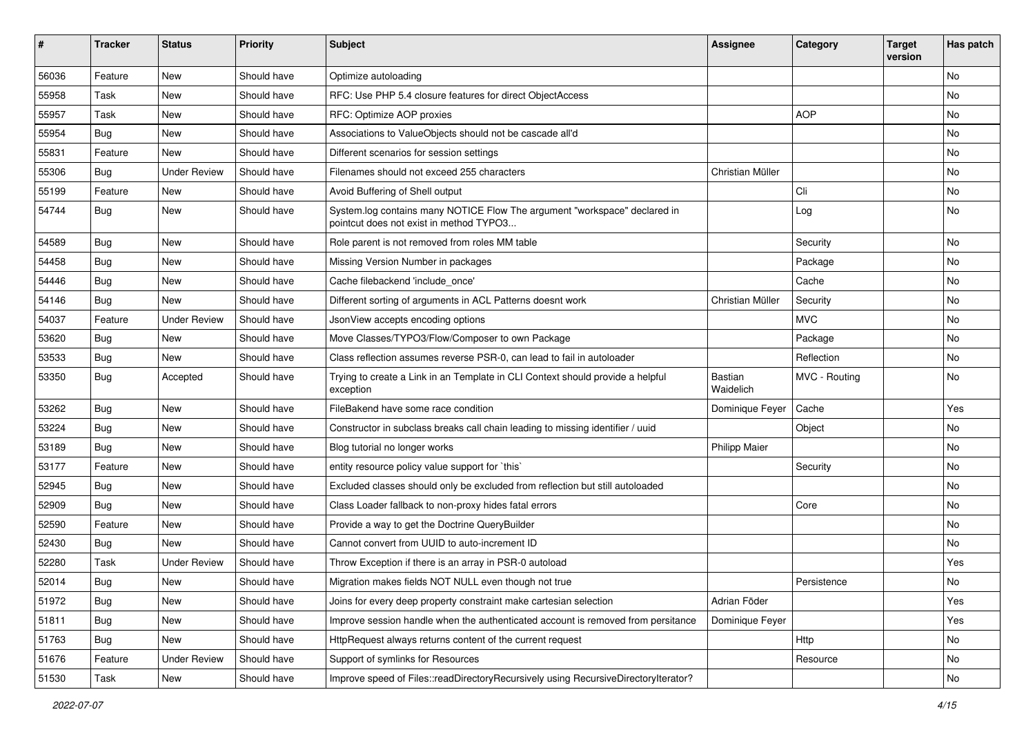| $\pmb{\#}$ | <b>Tracker</b> | <b>Status</b>       | <b>Priority</b> | <b>Subject</b>                                                                                                       | <b>Assignee</b>      | Category      | <b>Target</b><br>version | Has patch |
|------------|----------------|---------------------|-----------------|----------------------------------------------------------------------------------------------------------------------|----------------------|---------------|--------------------------|-----------|
| 56036      | Feature        | <b>New</b>          | Should have     | Optimize autoloading                                                                                                 |                      |               |                          | <b>No</b> |
| 55958      | Task           | New                 | Should have     | RFC: Use PHP 5.4 closure features for direct ObjectAccess                                                            |                      |               |                          | No        |
| 55957      | Task           | <b>New</b>          | Should have     | RFC: Optimize AOP proxies                                                                                            |                      | <b>AOP</b>    |                          | <b>No</b> |
| 55954      | <b>Bug</b>     | New                 | Should have     | Associations to ValueObjects should not be cascade all'd                                                             |                      |               |                          | No        |
| 55831      | Feature        | New                 | Should have     | Different scenarios for session settings                                                                             |                      |               |                          | No        |
| 55306      | Bug            | <b>Under Review</b> | Should have     | Filenames should not exceed 255 characters                                                                           | Christian Müller     |               |                          | No        |
| 55199      | Feature        | <b>New</b>          | Should have     | Avoid Buffering of Shell output                                                                                      |                      | Cli           |                          | No        |
| 54744      | <b>Bug</b>     | New                 | Should have     | System.log contains many NOTICE Flow The argument "workspace" declared in<br>pointcut does not exist in method TYPO3 |                      | Log           |                          | No        |
| 54589      | <b>Bug</b>     | New                 | Should have     | Role parent is not removed from roles MM table                                                                       |                      | Security      |                          | No        |
| 54458      | Bug            | <b>New</b>          | Should have     | Missing Version Number in packages                                                                                   |                      | Package       |                          | <b>No</b> |
| 54446      | <b>Bug</b>     | New                 | Should have     | Cache filebackend 'include once'                                                                                     |                      | Cache         |                          | No        |
| 54146      | Bug            | New                 | Should have     | Different sorting of arguments in ACL Patterns doesnt work                                                           | Christian Müller     | Security      |                          | No        |
| 54037      | Feature        | <b>Under Review</b> | Should have     | JsonView accepts encoding options                                                                                    |                      | <b>MVC</b>    |                          | No        |
| 53620      | <b>Bug</b>     | <b>New</b>          | Should have     | Move Classes/TYPO3/Flow/Composer to own Package                                                                      |                      | Package       |                          | No        |
| 53533      | Bug            | New                 | Should have     | Class reflection assumes reverse PSR-0, can lead to fail in autoloader                                               |                      | Reflection    |                          | No        |
| 53350      | Bug            | Accepted            | Should have     | Trying to create a Link in an Template in CLI Context should provide a helpful<br>exception                          | Bastian<br>Waidelich | MVC - Routing |                          | No        |
| 53262      | Bug            | <b>New</b>          | Should have     | FileBakend have some race condition                                                                                  | Dominique Feyer      | Cache         |                          | Yes       |
| 53224      | <b>Bug</b>     | New                 | Should have     | Constructor in subclass breaks call chain leading to missing identifier / uuid                                       |                      | Object        |                          | No        |
| 53189      | <b>Bug</b>     | New                 | Should have     | Blog tutorial no longer works                                                                                        | <b>Philipp Maier</b> |               |                          | No        |
| 53177      | Feature        | <b>New</b>          | Should have     | entity resource policy value support for `this`                                                                      |                      | Security      |                          | No        |
| 52945      | <b>Bug</b>     | New                 | Should have     | Excluded classes should only be excluded from reflection but still autoloaded                                        |                      |               |                          | No        |
| 52909      | <b>Bug</b>     | New                 | Should have     | Class Loader fallback to non-proxy hides fatal errors                                                                |                      | Core          |                          | No        |
| 52590      | Feature        | New                 | Should have     | Provide a way to get the Doctrine QueryBuilder                                                                       |                      |               |                          | No        |
| 52430      | <b>Bug</b>     | <b>New</b>          | Should have     | Cannot convert from UUID to auto-increment ID                                                                        |                      |               |                          | No        |
| 52280      | Task           | <b>Under Review</b> | Should have     | Throw Exception if there is an array in PSR-0 autoload                                                               |                      |               |                          | Yes       |
| 52014      | Bug            | New                 | Should have     | Migration makes fields NOT NULL even though not true                                                                 |                      | Persistence   |                          | No        |
| 51972      | <b>Bug</b>     | New                 | Should have     | Joins for every deep property constraint make cartesian selection                                                    | Adrian Föder         |               |                          | Yes       |
| 51811      | <b>Bug</b>     | New                 | Should have     | Improve session handle when the authenticated account is removed from persitance                                     | Dominique Feyer      |               |                          | Yes       |
| 51763      | Bug            | New                 | Should have     | HttpRequest always returns content of the current request                                                            |                      | Http          |                          | No        |
| 51676      | Feature        | <b>Under Review</b> | Should have     | Support of symlinks for Resources                                                                                    |                      | Resource      |                          | No        |
| 51530      | Task           | New                 | Should have     | Improve speed of Files::readDirectoryRecursively using RecursiveDirectoryIterator?                                   |                      |               |                          | No        |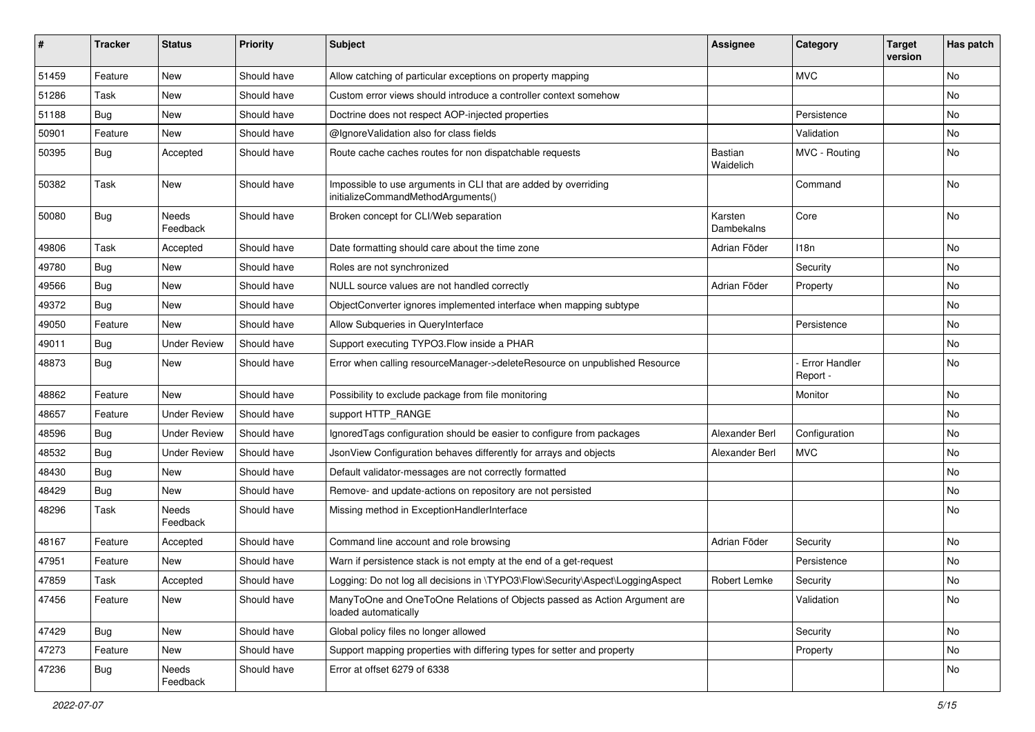| #     | <b>Tracker</b> | <b>Status</b>            | <b>Priority</b> | <b>Subject</b>                                                                                        | <b>Assignee</b>       | Category                         | <b>Target</b><br>version | Has patch |
|-------|----------------|--------------------------|-----------------|-------------------------------------------------------------------------------------------------------|-----------------------|----------------------------------|--------------------------|-----------|
| 51459 | Feature        | New                      | Should have     | Allow catching of particular exceptions on property mapping                                           |                       | <b>MVC</b>                       |                          | No        |
| 51286 | Task           | New                      | Should have     | Custom error views should introduce a controller context somehow                                      |                       |                                  |                          | No        |
| 51188 | <b>Bug</b>     | New                      | Should have     | Doctrine does not respect AOP-injected properties                                                     |                       | Persistence                      |                          | No        |
| 50901 | Feature        | New                      | Should have     | @IgnoreValidation also for class fields                                                               |                       | Validation                       |                          | No        |
| 50395 | Bug            | Accepted                 | Should have     | Route cache caches routes for non dispatchable requests                                               | Bastian<br>Waidelich  | MVC - Routing                    |                          | No        |
| 50382 | Task           | New                      | Should have     | Impossible to use arguments in CLI that are added by overriding<br>initializeCommandMethodArguments() |                       | Command                          |                          | No        |
| 50080 | <b>Bug</b>     | Needs<br>Feedback        | Should have     | Broken concept for CLI/Web separation                                                                 | Karsten<br>Dambekalns | Core                             |                          | No        |
| 49806 | Task           | Accepted                 | Should have     | Date formatting should care about the time zone                                                       | Adrian Föder          | 118n                             |                          | No        |
| 49780 | <b>Bug</b>     | New                      | Should have     | Roles are not synchronized                                                                            |                       | Security                         |                          | No        |
| 49566 | <b>Bug</b>     | New                      | Should have     | NULL source values are not handled correctly                                                          | Adrian Föder          | Property                         |                          | No        |
| 49372 | <b>Bug</b>     | New                      | Should have     | ObjectConverter ignores implemented interface when mapping subtype                                    |                       |                                  |                          | No        |
| 49050 | Feature        | New                      | Should have     | Allow Subqueries in QueryInterface                                                                    |                       | Persistence                      |                          | No        |
| 49011 | <b>Bug</b>     | <b>Under Review</b>      | Should have     | Support executing TYPO3.Flow inside a PHAR                                                            |                       |                                  |                          | No        |
| 48873 | <b>Bug</b>     | New                      | Should have     | Error when calling resourceManager->deleteResource on unpublished Resource                            |                       | <b>Error Handler</b><br>Report - |                          | No        |
| 48862 | Feature        | New                      | Should have     | Possibility to exclude package from file monitoring                                                   |                       | Monitor                          |                          | No        |
| 48657 | Feature        | <b>Under Review</b>      | Should have     | support HTTP_RANGE                                                                                    |                       |                                  |                          | No        |
| 48596 | <b>Bug</b>     | <b>Under Review</b>      | Should have     | IgnoredTags configuration should be easier to configure from packages                                 | Alexander Berl        | Configuration                    |                          | No        |
| 48532 | <b>Bug</b>     | <b>Under Review</b>      | Should have     | JsonView Configuration behaves differently for arrays and objects                                     | Alexander Berl        | <b>MVC</b>                       |                          | <b>No</b> |
| 48430 | <b>Bug</b>     | New                      | Should have     | Default validator-messages are not correctly formatted                                                |                       |                                  |                          | No        |
| 48429 | <b>Bug</b>     | New                      | Should have     | Remove- and update-actions on repository are not persisted                                            |                       |                                  |                          | No        |
| 48296 | Task           | <b>Needs</b><br>Feedback | Should have     | Missing method in ExceptionHandlerInterface                                                           |                       |                                  |                          | No        |
| 48167 | Feature        | Accepted                 | Should have     | Command line account and role browsing                                                                | Adrian Föder          | Security                         |                          | No        |
| 47951 | Feature        | <b>New</b>               | Should have     | Warn if persistence stack is not empty at the end of a get-request                                    |                       | Persistence                      |                          | No        |
| 47859 | Task           | Accepted                 | Should have     | Logging: Do not log all decisions in \TYPO3\Flow\Security\Aspect\LoggingAspect                        | Robert Lemke          | Security                         |                          | No        |
| 47456 | Feature        | New                      | Should have     | ManyToOne and OneToOne Relations of Objects passed as Action Argument are<br>loaded automatically     |                       | Validation                       |                          | No        |
| 47429 | Bug            | New                      | Should have     | Global policy files no longer allowed                                                                 |                       | Security                         |                          | No        |
| 47273 | Feature        | New                      | Should have     | Support mapping properties with differing types for setter and property                               |                       | Property                         |                          | No        |
| 47236 | <b>Bug</b>     | Needs<br>Feedback        | Should have     | Error at offset 6279 of 6338                                                                          |                       |                                  |                          | No        |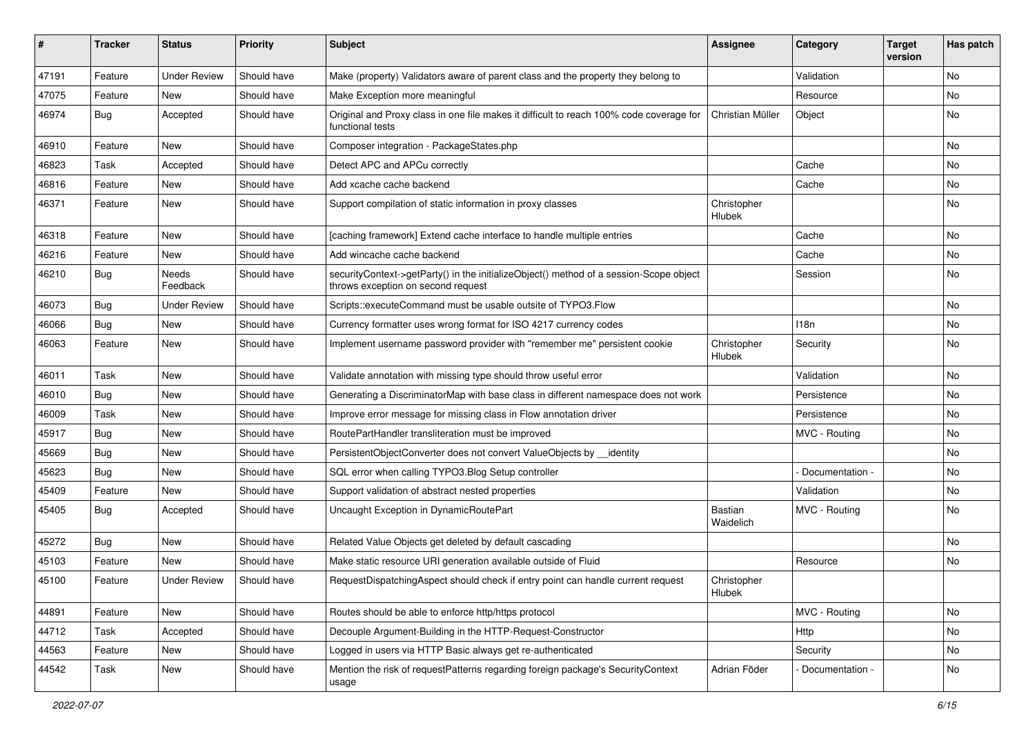| ∦     | <b>Tracker</b> | <b>Status</b>            | <b>Priority</b> | <b>Subject</b>                                                                                                               | <b>Assignee</b>       | Category        | <b>Target</b><br>version | Has patch |
|-------|----------------|--------------------------|-----------------|------------------------------------------------------------------------------------------------------------------------------|-----------------------|-----------------|--------------------------|-----------|
| 47191 | Feature        | <b>Under Review</b>      | Should have     | Make (property) Validators aware of parent class and the property they belong to                                             |                       | Validation      |                          | No        |
| 47075 | Feature        | <b>New</b>               | Should have     | Make Exception more meaningful                                                                                               |                       | Resource        |                          | No        |
| 46974 | <b>Bug</b>     | Accepted                 | Should have     | Original and Proxy class in one file makes it difficult to reach 100% code coverage for<br>functional tests                  | Christian Müller      | Object          |                          | No        |
| 46910 | Feature        | <b>New</b>               | Should have     | Composer integration - PackageStates.php                                                                                     |                       |                 |                          | <b>No</b> |
| 46823 | Task           | Accepted                 | Should have     | Detect APC and APCu correctly                                                                                                |                       | Cache           |                          | <b>No</b> |
| 46816 | Feature        | New                      | Should have     | Add xcache cache backend                                                                                                     |                       | Cache           |                          | No        |
| 46371 | Feature        | New                      | Should have     | Support compilation of static information in proxy classes                                                                   | Christopher<br>Hlubek |                 |                          | <b>No</b> |
| 46318 | Feature        | <b>New</b>               | Should have     | [caching framework] Extend cache interface to handle multiple entries                                                        |                       | Cache           |                          | No        |
| 46216 | Feature        | New                      | Should have     | Add wincache cache backend                                                                                                   |                       | Cache           |                          | No        |
| 46210 | <b>Bug</b>     | <b>Needs</b><br>Feedback | Should have     | securityContext->getParty() in the initializeObject() method of a session-Scope object<br>throws exception on second request |                       | Session         |                          | No        |
| 46073 | <b>Bug</b>     | <b>Under Review</b>      | Should have     | Scripts::executeCommand must be usable outsite of TYPO3.Flow                                                                 |                       |                 |                          | <b>No</b> |
| 46066 | <b>Bug</b>     | New                      | Should have     | Currency formatter uses wrong format for ISO 4217 currency codes                                                             |                       | 118n            |                          | No        |
| 46063 | Feature        | New                      | Should have     | Implement username password provider with "remember me" persistent cookie                                                    | Christopher<br>Hlubek | Security        |                          | <b>No</b> |
| 46011 | Task           | New                      | Should have     | Validate annotation with missing type should throw useful error                                                              |                       | Validation      |                          | No        |
| 46010 | <b>Bug</b>     | New                      | Should have     | Generating a DiscriminatorMap with base class in different namespace does not work                                           |                       | Persistence     |                          | No        |
| 46009 | Task           | New                      | Should have     | Improve error message for missing class in Flow annotation driver                                                            |                       | Persistence     |                          | No        |
| 45917 | <b>Bug</b>     | New                      | Should have     | RoutePartHandler transliteration must be improved                                                                            |                       | MVC - Routing   |                          | No        |
| 45669 | <b>Bug</b>     | New                      | Should have     | PersistentObjectConverter does not convert ValueObjects by __identity                                                        |                       |                 |                          | <b>No</b> |
| 45623 | <b>Bug</b>     | New                      | Should have     | SQL error when calling TYPO3.Blog Setup controller                                                                           |                       | Documentation - |                          | No        |
| 45409 | Feature        | New                      | Should have     | Support validation of abstract nested properties                                                                             |                       | Validation      |                          | No        |
| 45405 | <b>Bug</b>     | Accepted                 | Should have     | Uncaught Exception in DynamicRoutePart                                                                                       | Bastian<br>Waidelich  | MVC - Routing   |                          | No        |
| 45272 | <b>Bug</b>     | New                      | Should have     | Related Value Objects get deleted by default cascading                                                                       |                       |                 |                          | No        |
| 45103 | Feature        | <b>New</b>               | Should have     | Make static resource URI generation available outside of Fluid                                                               |                       | Resource        |                          | No        |
| 45100 | Feature        | <b>Under Review</b>      | Should have     | RequestDispatchingAspect should check if entry point can handle current request                                              | Christopher<br>Hlubek |                 |                          |           |
| 44891 | Feature        | New                      | Should have     | Routes should be able to enforce http/https protocol                                                                         |                       | MVC - Routing   |                          | No        |
| 44712 | Task           | Accepted                 | Should have     | Decouple Argument-Building in the HTTP-Request-Constructor                                                                   |                       | Http            |                          | No        |
| 44563 | Feature        | New                      | Should have     | Logged in users via HTTP Basic always get re-authenticated                                                                   |                       | Security        |                          | No        |
| 44542 | Task           | New                      | Should have     | Mention the risk of requestPatterns regarding foreign package's SecurityContext<br>usage                                     | Adrian Föder          | Documentation - |                          | No        |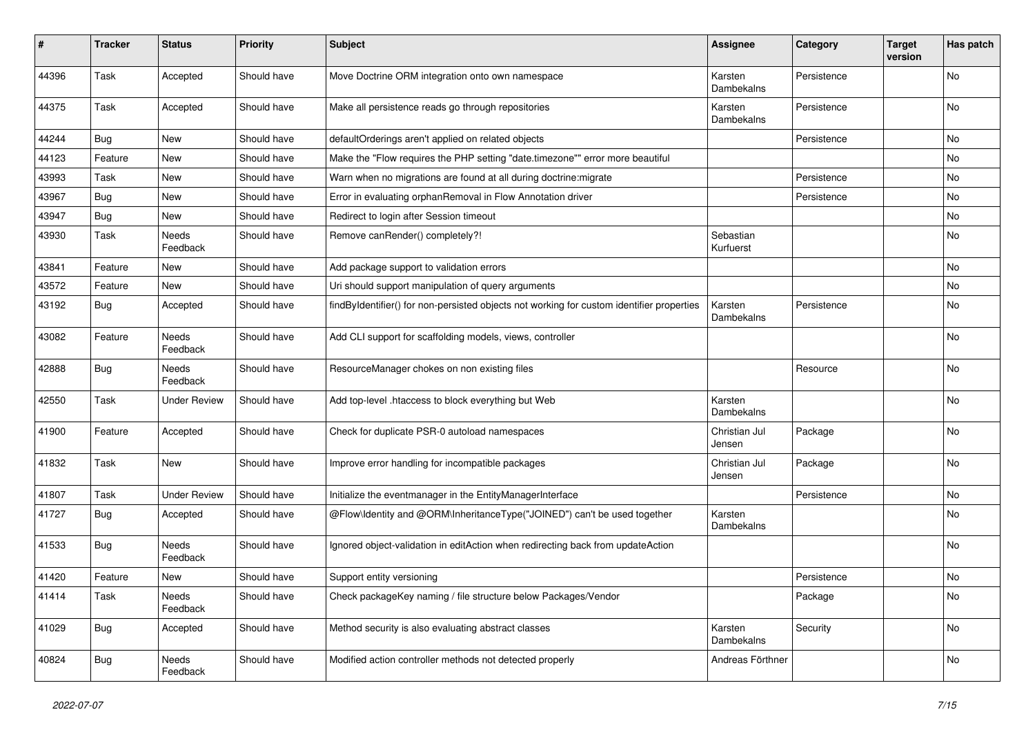| #     | <b>Tracker</b> | <b>Status</b>       | <b>Priority</b> | <b>Subject</b>                                                                            | <b>Assignee</b>         | Category    | <b>Target</b><br>version | Has patch |
|-------|----------------|---------------------|-----------------|-------------------------------------------------------------------------------------------|-------------------------|-------------|--------------------------|-----------|
| 44396 | Task           | Accepted            | Should have     | Move Doctrine ORM integration onto own namespace                                          | Karsten<br>Dambekalns   | Persistence |                          | No        |
| 44375 | Task           | Accepted            | Should have     | Make all persistence reads go through repositories                                        | Karsten<br>Dambekalns   | Persistence |                          | No        |
| 44244 | Bug            | New                 | Should have     | defaultOrderings aren't applied on related objects                                        |                         | Persistence |                          | No        |
| 44123 | Feature        | <b>New</b>          | Should have     | Make the "Flow requires the PHP setting "date.timezone"" error more beautiful             |                         |             |                          | <b>No</b> |
| 43993 | Task           | New                 | Should have     | Warn when no migrations are found at all during doctrine: migrate                         |                         | Persistence |                          | No        |
| 43967 | Bug            | New                 | Should have     | Error in evaluating orphanRemoval in Flow Annotation driver                               |                         | Persistence |                          | No        |
| 43947 | <b>Bug</b>     | New                 | Should have     | Redirect to login after Session timeout                                                   |                         |             |                          | No        |
| 43930 | Task           | Needs<br>Feedback   | Should have     | Remove canRender() completely?!                                                           | Sebastian<br>Kurfuerst  |             |                          | No        |
| 43841 | Feature        | <b>New</b>          | Should have     | Add package support to validation errors                                                  |                         |             |                          | No        |
| 43572 | Feature        | New                 | Should have     | Uri should support manipulation of query arguments                                        |                         |             |                          | No        |
| 43192 | Bug            | Accepted            | Should have     | findByIdentifier() for non-persisted objects not working for custom identifier properties | Karsten<br>Dambekalns   | Persistence |                          | No        |
| 43082 | Feature        | Needs<br>Feedback   | Should have     | Add CLI support for scaffolding models, views, controller                                 |                         |             |                          | No        |
| 42888 | Bug            | Needs<br>Feedback   | Should have     | ResourceManager chokes on non existing files                                              |                         | Resource    |                          | No        |
| 42550 | Task           | <b>Under Review</b> | Should have     | Add top-level .htaccess to block everything but Web                                       | Karsten<br>Dambekalns   |             |                          | No        |
| 41900 | Feature        | Accepted            | Should have     | Check for duplicate PSR-0 autoload namespaces                                             | Christian Jul<br>Jensen | Package     |                          | No        |
| 41832 | Task           | New                 | Should have     | Improve error handling for incompatible packages                                          | Christian Jul<br>Jensen | Package     |                          | No        |
| 41807 | Task           | <b>Under Review</b> | Should have     | Initialize the eventmanager in the EntityManagerInterface                                 |                         | Persistence |                          | No        |
| 41727 | <b>Bug</b>     | Accepted            | Should have     | @Flow\Identity and @ORM\InheritanceType("JOINED") can't be used together                  | Karsten<br>Dambekalns   |             |                          | No        |
| 41533 | Bug            | Needs<br>Feedback   | Should have     | Ignored object-validation in editAction when redirecting back from updateAction           |                         |             |                          | No        |
| 41420 | Feature        | New                 | Should have     | Support entity versioning                                                                 |                         | Persistence |                          | No        |
| 41414 | Task           | Needs<br>Feedback   | Should have     | Check packageKey naming / file structure below Packages/Vendor                            |                         | Package     |                          | No        |
| 41029 | Bug            | Accepted            | Should have     | Method security is also evaluating abstract classes                                       | Karsten<br>Dambekalns   | Security    |                          | No        |
| 40824 | <b>Bug</b>     | Needs<br>Feedback   | Should have     | Modified action controller methods not detected properly                                  | Andreas Förthner        |             |                          | No        |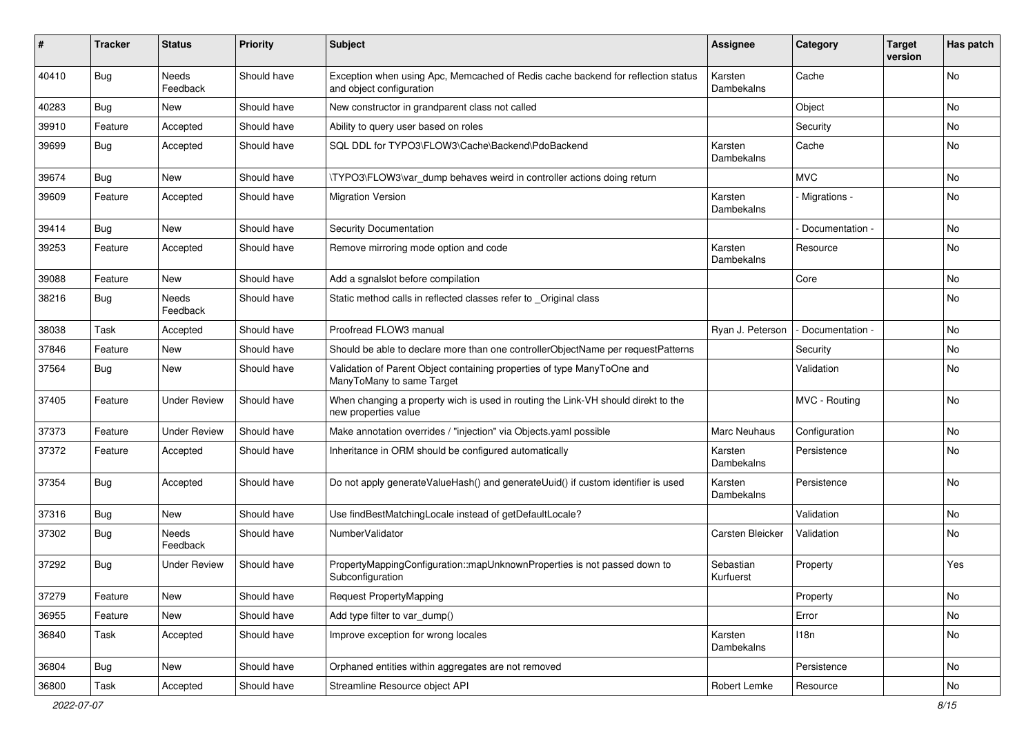| #     | <b>Tracker</b> | <b>Status</b>            | <b>Priority</b> | <b>Subject</b>                                                                                               | <b>Assignee</b>        | Category        | <b>Target</b><br>version | Has patch |
|-------|----------------|--------------------------|-----------------|--------------------------------------------------------------------------------------------------------------|------------------------|-----------------|--------------------------|-----------|
| 40410 | Bug            | Needs<br>Feedback        | Should have     | Exception when using Apc, Memcached of Redis cache backend for reflection status<br>and object configuration | Karsten<br>Dambekalns  | Cache           |                          | No        |
| 40283 | <b>Bug</b>     | New                      | Should have     | New constructor in grandparent class not called                                                              |                        | Object          |                          | No.       |
| 39910 | Feature        | Accepted                 | Should have     | Ability to query user based on roles                                                                         |                        | Security        |                          | No        |
| 39699 | <b>Bug</b>     | Accepted                 | Should have     | SQL DDL for TYPO3\FLOW3\Cache\Backend\PdoBackend                                                             | Karsten<br>Dambekalns  | Cache           |                          | No        |
| 39674 | Bug            | <b>New</b>               | Should have     | \TYPO3\FLOW3\var_dump behaves weird in controller actions doing return                                       |                        | <b>MVC</b>      |                          | No        |
| 39609 | Feature        | Accepted                 | Should have     | <b>Migration Version</b>                                                                                     | Karsten<br>Dambekalns  | - Migrations -  |                          | No        |
| 39414 | <b>Bug</b>     | New                      | Should have     | <b>Security Documentation</b>                                                                                |                        | Documentation - |                          | No        |
| 39253 | Feature        | Accepted                 | Should have     | Remove mirroring mode option and code                                                                        | Karsten<br>Dambekalns  | Resource        |                          | <b>No</b> |
| 39088 | Feature        | New                      | Should have     | Add a sgnalslot before compilation                                                                           |                        | Core            |                          | No.       |
| 38216 | <b>Bug</b>     | <b>Needs</b><br>Feedback | Should have     | Static method calls in reflected classes refer to Original class                                             |                        |                 |                          | No        |
| 38038 | Task           | Accepted                 | Should have     | Proofread FLOW3 manual                                                                                       | Ryan J. Peterson       | Documentation - |                          | No        |
| 37846 | Feature        | <b>New</b>               | Should have     | Should be able to declare more than one controllerObjectName per requestPatterns                             |                        | Security        |                          | No.       |
| 37564 | <b>Bug</b>     | New                      | Should have     | Validation of Parent Object containing properties of type ManyToOne and<br>ManyToMany to same Target         |                        | Validation      |                          | No        |
| 37405 | Feature        | <b>Under Review</b>      | Should have     | When changing a property wich is used in routing the Link-VH should direkt to the<br>new properties value    |                        | MVC - Routing   |                          | No        |
| 37373 | Feature        | <b>Under Review</b>      | Should have     | Make annotation overrides / "injection" via Objects.yaml possible                                            | <b>Marc Neuhaus</b>    | Configuration   |                          | No        |
| 37372 | Feature        | Accepted                 | Should have     | Inheritance in ORM should be configured automatically                                                        | Karsten<br>Dambekalns  | Persistence     |                          | No        |
| 37354 | <b>Bug</b>     | Accepted                 | Should have     | Do not apply generateValueHash() and generateUuid() if custom identifier is used                             | Karsten<br>Dambekalns  | Persistence     |                          | No.       |
| 37316 | <b>Bug</b>     | <b>New</b>               | Should have     | Use findBestMatchingLocale instead of getDefaultLocale?                                                      |                        | Validation      |                          | No        |
| 37302 | <b>Bug</b>     | <b>Needs</b><br>Feedback | Should have     | NumberValidator                                                                                              | Carsten Bleicker       | Validation      |                          | No.       |
| 37292 | <b>Bug</b>     | <b>Under Review</b>      | Should have     | PropertyMappingConfiguration::mapUnknownProperties is not passed down to<br>Subconfiguration                 | Sebastian<br>Kurfuerst | Property        |                          | Yes       |
| 37279 | Feature        | New                      | Should have     | Request PropertyMapping                                                                                      |                        | Property        |                          | No        |
| 36955 | Feature        | New                      | Should have     | Add type filter to var dump()                                                                                |                        | Error           |                          | No        |
| 36840 | Task           | Accepted                 | Should have     | Improve exception for wrong locales                                                                          | Karsten<br>Dambekalns  | 118n            |                          | No        |
| 36804 | Bug            | New                      | Should have     | Orphaned entities within aggregates are not removed                                                          |                        | Persistence     |                          | No        |
| 36800 | Task           | Accepted                 | Should have     | Streamline Resource object API                                                                               | Robert Lemke           | Resource        |                          | No        |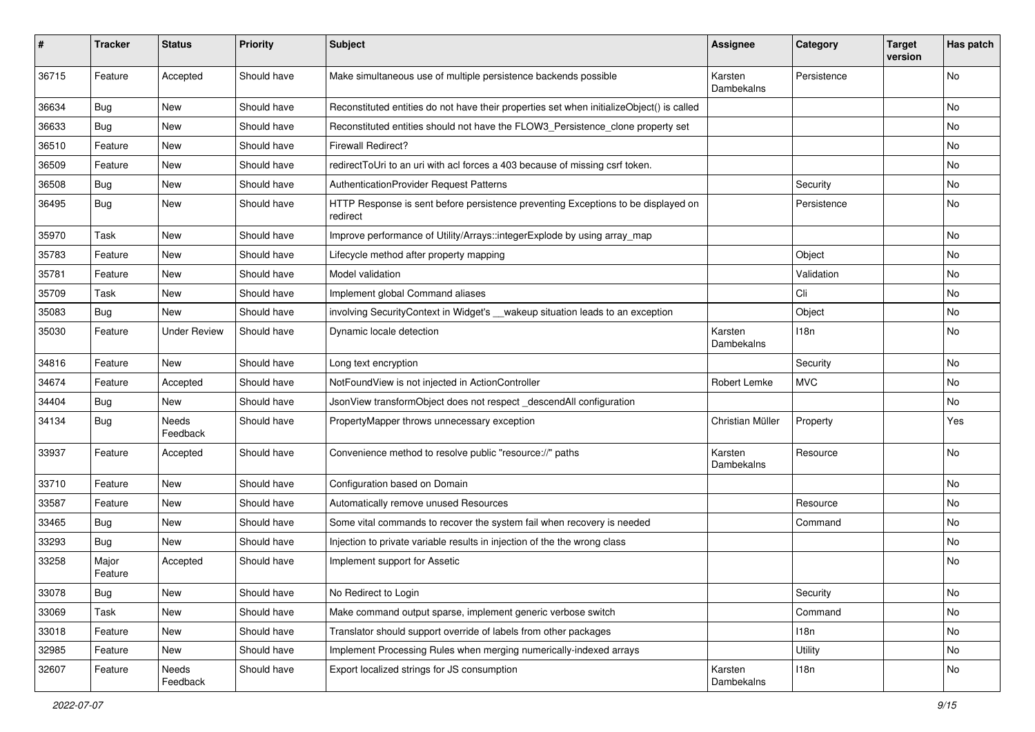| ∦     | <b>Tracker</b>   | <b>Status</b>       | <b>Priority</b> | <b>Subject</b>                                                                                | <b>Assignee</b>       | Category    | <b>Target</b><br>version | Has patch |
|-------|------------------|---------------------|-----------------|-----------------------------------------------------------------------------------------------|-----------------------|-------------|--------------------------|-----------|
| 36715 | Feature          | Accepted            | Should have     | Make simultaneous use of multiple persistence backends possible                               | Karsten<br>Dambekalns | Persistence |                          | <b>No</b> |
| 36634 | <b>Bug</b>       | New                 | Should have     | Reconstituted entities do not have their properties set when initializeObject() is called     |                       |             |                          | No        |
| 36633 | Bug              | <b>New</b>          | Should have     | Reconstituted entities should not have the FLOW3_Persistence_clone property set               |                       |             |                          | <b>No</b> |
| 36510 | Feature          | New                 | Should have     | <b>Firewall Redirect?</b>                                                                     |                       |             |                          | No        |
| 36509 | Feature          | <b>New</b>          | Should have     | redirectToUri to an uri with acl forces a 403 because of missing csrf token.                  |                       |             |                          | <b>No</b> |
| 36508 | <b>Bug</b>       | New                 | Should have     | AuthenticationProvider Request Patterns                                                       |                       | Security    |                          | No        |
| 36495 | <b>Bug</b>       | New                 | Should have     | HTTP Response is sent before persistence preventing Exceptions to be displayed on<br>redirect |                       | Persistence |                          | <b>No</b> |
| 35970 | Task             | <b>New</b>          | Should have     | Improve performance of Utility/Arrays::integerExplode by using array_map                      |                       |             |                          | <b>No</b> |
| 35783 | Feature          | New                 | Should have     | Lifecycle method after property mapping                                                       |                       | Object      |                          | No        |
| 35781 | Feature          | <b>New</b>          | Should have     | Model validation                                                                              |                       | Validation  |                          | No        |
| 35709 | Task             | New                 | Should have     | Implement global Command aliases                                                              |                       | Cli         |                          | No        |
| 35083 | Bug              | <b>New</b>          | Should have     | involving SecurityContext in Widget's __wakeup situation leads to an exception                |                       | Object      |                          | <b>No</b> |
| 35030 | Feature          | <b>Under Review</b> | Should have     | Dynamic locale detection                                                                      | Karsten<br>Dambekalns | 118n        |                          | No        |
| 34816 | Feature          | New                 | Should have     | Long text encryption                                                                          |                       | Security    |                          | No        |
| 34674 | Feature          | Accepted            | Should have     | NotFoundView is not injected in ActionController                                              | Robert Lemke          | <b>MVC</b>  |                          | <b>No</b> |
| 34404 | Bug              | New                 | Should have     | JsonView transformObject does not respect_descendAll configuration                            |                       |             |                          | No        |
| 34134 | Bug              | Needs<br>Feedback   | Should have     | PropertyMapper throws unnecessary exception                                                   | Christian Müller      | Property    |                          | Yes       |
| 33937 | Feature          | Accepted            | Should have     | Convenience method to resolve public "resource://" paths                                      | Karsten<br>Dambekalns | Resource    |                          | <b>No</b> |
| 33710 | Feature          | <b>New</b>          | Should have     | Configuration based on Domain                                                                 |                       |             |                          | <b>No</b> |
| 33587 | Feature          | New                 | Should have     | Automatically remove unused Resources                                                         |                       | Resource    |                          | No        |
| 33465 | <b>Bug</b>       | New                 | Should have     | Some vital commands to recover the system fail when recovery is needed                        |                       | Command     |                          | No        |
| 33293 | <b>Bug</b>       | New                 | Should have     | Injection to private variable results in injection of the the wrong class                     |                       |             |                          | No        |
| 33258 | Major<br>Feature | Accepted            | Should have     | Implement support for Assetic                                                                 |                       |             |                          | No        |
| 33078 | Bug              | <b>New</b>          | Should have     | No Redirect to Login                                                                          |                       | Security    |                          | No        |
| 33069 | Task             | New                 | Should have     | Make command output sparse, implement generic verbose switch                                  |                       | Command     |                          | No        |
| 33018 | Feature          | New                 | Should have     | Translator should support override of labels from other packages                              |                       | 118n        |                          | No        |
| 32985 | Feature          | New                 | Should have     | Implement Processing Rules when merging numerically-indexed arrays                            |                       | Utility     |                          | No        |
| 32607 | Feature          | Needs<br>Feedback   | Should have     | Export localized strings for JS consumption                                                   | Karsten<br>Dambekalns | 118n        |                          | No        |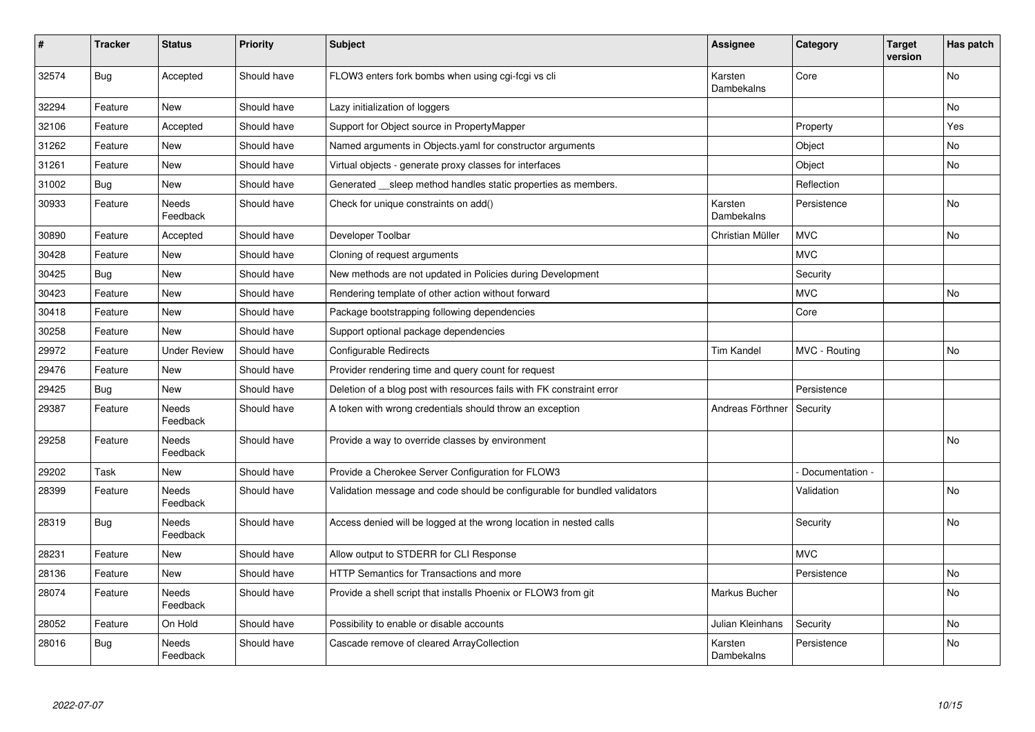| $\pmb{\sharp}$ | <b>Tracker</b> | <b>Status</b>            | <b>Priority</b> | <b>Subject</b>                                                            | <b>Assignee</b>       | Category        | <b>Target</b><br>version | Has patch |
|----------------|----------------|--------------------------|-----------------|---------------------------------------------------------------------------|-----------------------|-----------------|--------------------------|-----------|
| 32574          | Bug            | Accepted                 | Should have     | FLOW3 enters fork bombs when using cgi-fcgi vs cli                        | Karsten<br>Dambekalns | Core            |                          | <b>No</b> |
| 32294          | Feature        | <b>New</b>               | Should have     | Lazy initialization of loggers                                            |                       |                 |                          | No        |
| 32106          | Feature        | Accepted                 | Should have     | Support for Object source in PropertyMapper                               |                       | Property        |                          | Yes       |
| 31262          | Feature        | New                      | Should have     | Named arguments in Objects.yaml for constructor arguments                 |                       | Object          |                          | No        |
| 31261          | Feature        | <b>New</b>               | Should have     | Virtual objects - generate proxy classes for interfaces                   |                       | Object          |                          | No        |
| 31002          | Bug            | <b>New</b>               | Should have     | Generated sleep method handles static properties as members.              |                       | Reflection      |                          |           |
| 30933          | Feature        | Needs<br>Feedback        | Should have     | Check for unique constraints on add()                                     | Karsten<br>Dambekalns | Persistence     |                          | <b>No</b> |
| 30890          | Feature        | Accepted                 | Should have     | Developer Toolbar                                                         | Christian Müller      | <b>MVC</b>      |                          | <b>No</b> |
| 30428          | Feature        | New                      | Should have     | Cloning of request arguments                                              |                       | <b>MVC</b>      |                          |           |
| 30425          | <b>Bug</b>     | <b>New</b>               | Should have     | New methods are not updated in Policies during Development                |                       | Security        |                          |           |
| 30423          | Feature        | New                      | Should have     | Rendering template of other action without forward                        |                       | <b>MVC</b>      |                          | No        |
| 30418          | Feature        | <b>New</b>               | Should have     | Package bootstrapping following dependencies                              |                       | Core            |                          |           |
| 30258          | Feature        | New                      | Should have     | Support optional package dependencies                                     |                       |                 |                          |           |
| 29972          | Feature        | <b>Under Review</b>      | Should have     | <b>Configurable Redirects</b>                                             | <b>Tim Kandel</b>     | MVC - Routing   |                          | <b>No</b> |
| 29476          | Feature        | <b>New</b>               | Should have     | Provider rendering time and query count for request                       |                       |                 |                          |           |
| 29425          | <b>Bug</b>     | <b>New</b>               | Should have     | Deletion of a blog post with resources fails with FK constraint error     |                       | Persistence     |                          |           |
| 29387          | Feature        | Needs<br>Feedback        | Should have     | A token with wrong credentials should throw an exception                  | Andreas Förthner      | Security        |                          |           |
| 29258          | Feature        | Needs<br>Feedback        | Should have     | Provide a way to override classes by environment                          |                       |                 |                          | <b>No</b> |
| 29202          | Task           | <b>New</b>               | Should have     | Provide a Cherokee Server Configuration for FLOW3                         |                       | Documentation - |                          |           |
| 28399          | Feature        | Needs<br>Feedback        | Should have     | Validation message and code should be configurable for bundled validators |                       | Validation      |                          | <b>No</b> |
| 28319          | <b>Bug</b>     | <b>Needs</b><br>Feedback | Should have     | Access denied will be logged at the wrong location in nested calls        |                       | Security        |                          | <b>No</b> |
| 28231          | Feature        | <b>New</b>               | Should have     | Allow output to STDERR for CLI Response                                   |                       | <b>MVC</b>      |                          |           |
| 28136          | Feature        | <b>New</b>               | Should have     | HTTP Semantics for Transactions and more                                  |                       | Persistence     |                          | No.       |
| 28074          | Feature        | Needs<br>Feedback        | Should have     | Provide a shell script that installs Phoenix or FLOW3 from git            | Markus Bucher         |                 |                          | No        |
| 28052          | Feature        | On Hold                  | Should have     | Possibility to enable or disable accounts                                 | Julian Kleinhans      | Security        |                          | No.       |
| 28016          | <b>Bug</b>     | Needs<br>Feedback        | Should have     | Cascade remove of cleared ArrayCollection                                 | Karsten<br>Dambekalns | Persistence     |                          | No        |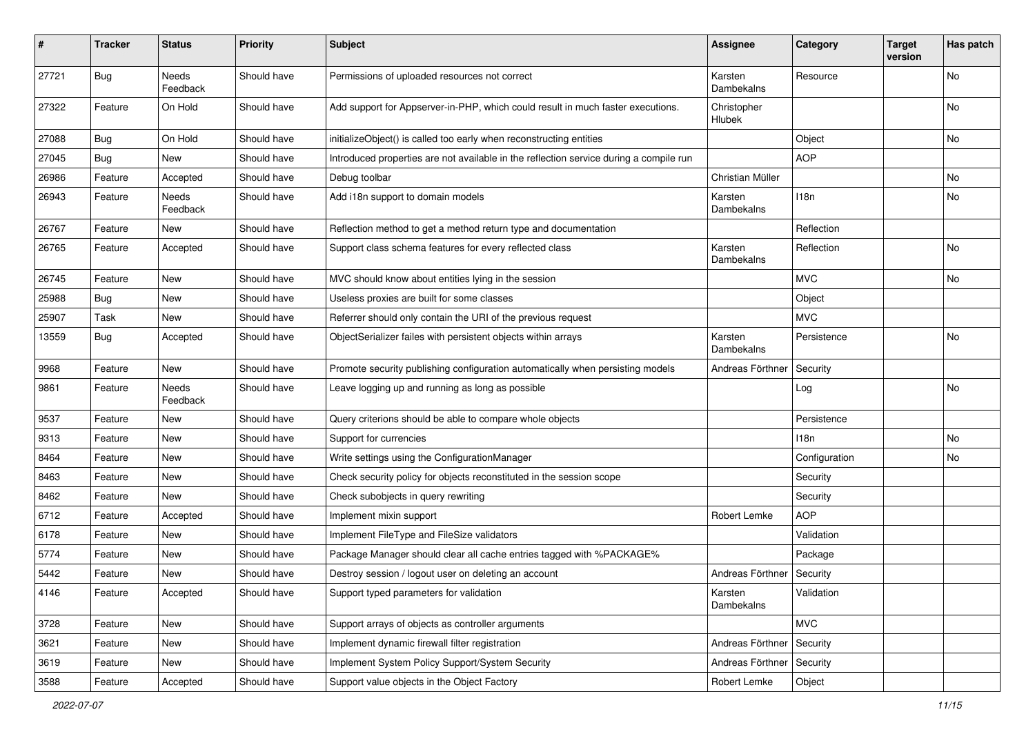| ∦     | <b>Tracker</b> | <b>Status</b>     | <b>Priority</b> | <b>Subject</b>                                                                         | <b>Assignee</b>       | Category         | <b>Target</b><br>version | Has patch |
|-------|----------------|-------------------|-----------------|----------------------------------------------------------------------------------------|-----------------------|------------------|--------------------------|-----------|
| 27721 | Bug            | Needs<br>Feedback | Should have     | Permissions of uploaded resources not correct                                          | Karsten<br>Dambekalns | Resource         |                          | No        |
| 27322 | Feature        | On Hold           | Should have     | Add support for Appserver-in-PHP, which could result in much faster executions.        | Christopher<br>Hlubek |                  |                          | No        |
| 27088 | Bug            | On Hold           | Should have     | initializeObject() is called too early when reconstructing entities                    |                       | Object           |                          | No        |
| 27045 | <b>Bug</b>     | New               | Should have     | Introduced properties are not available in the reflection service during a compile run |                       | <b>AOP</b>       |                          |           |
| 26986 | Feature        | Accepted          | Should have     | Debug toolbar                                                                          | Christian Müller      |                  |                          | No        |
| 26943 | Feature        | Needs<br>Feedback | Should have     | Add i18n support to domain models                                                      | Karsten<br>Dambekalns | 118n             |                          | No        |
| 26767 | Feature        | New               | Should have     | Reflection method to get a method return type and documentation                        |                       | Reflection       |                          |           |
| 26765 | Feature        | Accepted          | Should have     | Support class schema features for every reflected class                                | Karsten<br>Dambekalns | Reflection       |                          | No        |
| 26745 | Feature        | New               | Should have     | MVC should know about entities lying in the session                                    |                       | <b>MVC</b>       |                          | No        |
| 25988 | Bug            | New               | Should have     | Useless proxies are built for some classes                                             |                       | Object           |                          |           |
| 25907 | Task           | <b>New</b>        | Should have     | Referrer should only contain the URI of the previous request                           |                       | <b>MVC</b>       |                          |           |
| 13559 | Bug            | Accepted          | Should have     | ObjectSerializer failes with persistent objects within arrays                          | Karsten<br>Dambekalns | Persistence      |                          | No        |
| 9968  | Feature        | New               | Should have     | Promote security publishing configuration automatically when persisting models         | Andreas Förthner      | Security         |                          |           |
| 9861  | Feature        | Needs<br>Feedback | Should have     | Leave logging up and running as long as possible                                       |                       | Log              |                          | No        |
| 9537  | Feature        | <b>New</b>        | Should have     | Query criterions should be able to compare whole objects                               |                       | Persistence      |                          |           |
| 9313  | Feature        | <b>New</b>        | Should have     | Support for currencies                                                                 |                       | 118 <sub>n</sub> |                          | No        |
| 8464  | Feature        | <b>New</b>        | Should have     | Write settings using the ConfigurationManager                                          |                       | Configuration    |                          | No        |
| 8463  | Feature        | New               | Should have     | Check security policy for objects reconstituted in the session scope                   |                       | Security         |                          |           |
| 8462  | Feature        | <b>New</b>        | Should have     | Check subobjects in query rewriting                                                    |                       | Security         |                          |           |
| 6712  | Feature        | Accepted          | Should have     | Implement mixin support                                                                | Robert Lemke          | <b>AOP</b>       |                          |           |
| 6178  | Feature        | New               | Should have     | Implement FileType and FileSize validators                                             |                       | Validation       |                          |           |
| 5774  | Feature        | <b>New</b>        | Should have     | Package Manager should clear all cache entries tagged with %PACKAGE%                   |                       | Package          |                          |           |
| 5442  | Feature        | New               | Should have     | Destroy session / logout user on deleting an account                                   | Andreas Förthner      | Security         |                          |           |
| 4146  | Feature        | Accepted          | Should have     | Support typed parameters for validation                                                | Karsten<br>Dambekalns | Validation       |                          |           |
| 3728  | Feature        | New               | Should have     | Support arrays of objects as controller arguments                                      |                       | <b>MVC</b>       |                          |           |
| 3621  | Feature        | New               | Should have     | Implement dynamic firewall filter registration                                         | Andreas Förthner      | Security         |                          |           |
| 3619  | Feature        | New               | Should have     | Implement System Policy Support/System Security                                        | Andreas Förthner      | Security         |                          |           |
| 3588  | Feature        | Accepted          | Should have     | Support value objects in the Object Factory                                            | Robert Lemke          | Object           |                          |           |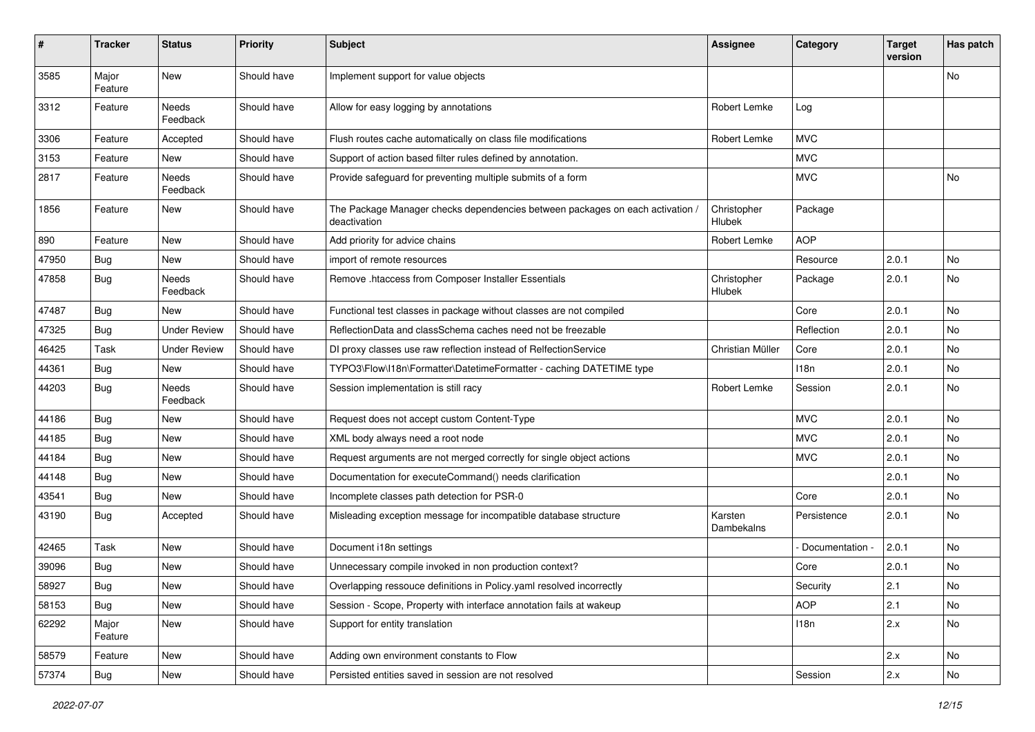| #     | Tracker          | <b>Status</b>       | <b>Priority</b> | <b>Subject</b>                                                                                | <b>Assignee</b>       | Category      | <b>Target</b><br>version | Has patch |
|-------|------------------|---------------------|-----------------|-----------------------------------------------------------------------------------------------|-----------------------|---------------|--------------------------|-----------|
| 3585  | Major<br>Feature | <b>New</b>          | Should have     | Implement support for value objects                                                           |                       |               |                          | No        |
| 3312  | Feature          | Needs<br>Feedback   | Should have     | Allow for easy logging by annotations                                                         | <b>Robert Lemke</b>   | Log           |                          |           |
| 3306  | Feature          | Accepted            | Should have     | Flush routes cache automatically on class file modifications                                  | Robert Lemke          | <b>MVC</b>    |                          |           |
| 3153  | Feature          | New                 | Should have     | Support of action based filter rules defined by annotation.                                   |                       | <b>MVC</b>    |                          |           |
| 2817  | Feature          | Needs<br>Feedback   | Should have     | Provide safeguard for preventing multiple submits of a form                                   |                       | <b>MVC</b>    |                          | No        |
| 1856  | Feature          | New                 | Should have     | The Package Manager checks dependencies between packages on each activation /<br>deactivation | Christopher<br>Hlubek | Package       |                          |           |
| 890   | Feature          | New                 | Should have     | Add priority for advice chains                                                                | Robert Lemke          | <b>AOP</b>    |                          |           |
| 47950 | Bug              | <b>New</b>          | Should have     | import of remote resources                                                                    |                       | Resource      | 2.0.1                    | No        |
| 47858 | <b>Bug</b>       | Needs<br>Feedback   | Should have     | Remove .htaccess from Composer Installer Essentials                                           | Christopher<br>Hlubek | Package       | 2.0.1                    | No.       |
| 47487 | <b>Bug</b>       | New                 | Should have     | Functional test classes in package without classes are not compiled                           |                       | Core          | 2.0.1                    | No        |
| 47325 | <b>Bug</b>       | <b>Under Review</b> | Should have     | ReflectionData and classSchema caches need not be freezable                                   |                       | Reflection    | 2.0.1                    | No        |
| 46425 | Task             | <b>Under Review</b> | Should have     | DI proxy classes use raw reflection instead of RelfectionService                              | Christian Müller      | Core          | 2.0.1                    | No.       |
| 44361 | <b>Bug</b>       | New                 | Should have     | TYPO3\Flow\I18n\Formatter\DatetimeFormatter - caching DATETIME type                           |                       | 118n          | 2.0.1                    | No        |
| 44203 | Bug              | Needs<br>Feedback   | Should have     | Session implementation is still racy                                                          | Robert Lemke          | Session       | 2.0.1                    | No        |
| 44186 | <b>Bug</b>       | New                 | Should have     | Request does not accept custom Content-Type                                                   |                       | <b>MVC</b>    | 2.0.1                    | No        |
| 44185 | Bug              | New                 | Should have     | XML body always need a root node                                                              |                       | <b>MVC</b>    | 2.0.1                    | No        |
| 44184 | <b>Bug</b>       | New                 | Should have     | Request arguments are not merged correctly for single object actions                          |                       | <b>MVC</b>    | 2.0.1                    | No        |
| 44148 | <b>Bug</b>       | <b>New</b>          | Should have     | Documentation for executeCommand() needs clarification                                        |                       |               | 2.0.1                    | No        |
| 43541 | <b>Bug</b>       | New                 | Should have     | Incomplete classes path detection for PSR-0                                                   |                       | Core          | 2.0.1                    | No        |
| 43190 | <b>Bug</b>       | Accepted            | Should have     | Misleading exception message for incompatible database structure                              | Karsten<br>Dambekalns | Persistence   | 2.0.1                    | No        |
| 42465 | Task             | New                 | Should have     | Document i18n settings                                                                        |                       | Documentation | 2.0.1                    | No        |
| 39096 | <b>Bug</b>       | New                 | Should have     | Unnecessary compile invoked in non production context?                                        |                       | Core          | 2.0.1                    | No        |
| 58927 | Bug              | New                 | Should have     | Overlapping ressouce definitions in Policy.yaml resolved incorrectly                          |                       | Security      | 2.1                      | No        |
| 58153 | Bug              | New                 | Should have     | Session - Scope, Property with interface annotation fails at wakeup                           |                       | <b>AOP</b>    | 2.1                      | No        |
| 62292 | Major<br>Feature | New                 | Should have     | Support for entity translation                                                                |                       | 118n          | 2.x                      | No        |
| 58579 | Feature          | New                 | Should have     | Adding own environment constants to Flow                                                      |                       |               | 2.x                      | No        |
| 57374 | Bug              | New                 | Should have     | Persisted entities saved in session are not resolved                                          |                       | Session       | 2.x                      | No        |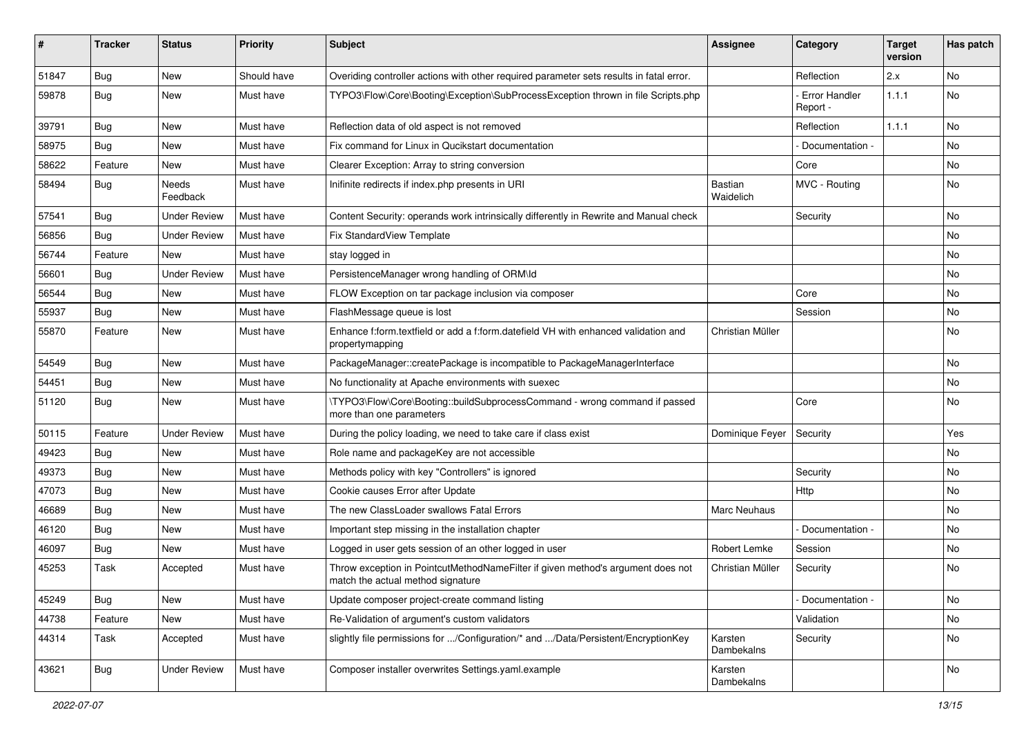| #     | <b>Tracker</b> | <b>Status</b>       | <b>Priority</b> | <b>Subject</b>                                                                                                       | <b>Assignee</b>             | Category                  | <b>Target</b><br>version | Has patch |
|-------|----------------|---------------------|-----------------|----------------------------------------------------------------------------------------------------------------------|-----------------------------|---------------------------|--------------------------|-----------|
| 51847 | Bug            | <b>New</b>          | Should have     | Overiding controller actions with other required parameter sets results in fatal error.                              |                             | Reflection                | 2.x                      | No        |
| 59878 | <b>Bug</b>     | New                 | Must have       | TYPO3\Flow\Core\Booting\Exception\SubProcessException thrown in file Scripts.php                                     |                             | Error Handler<br>Report - | 1.1.1                    | No        |
| 39791 | <b>Bug</b>     | <b>New</b>          | Must have       | Reflection data of old aspect is not removed                                                                         |                             | Reflection                | 1.1.1                    | No        |
| 58975 | <b>Bug</b>     | New                 | Must have       | Fix command for Linux in Qucikstart documentation                                                                    |                             | Documentation -           |                          | No.       |
| 58622 | Feature        | New                 | Must have       | Clearer Exception: Array to string conversion                                                                        |                             | Core                      |                          | No.       |
| 58494 | <b>Bug</b>     | Needs<br>Feedback   | Must have       | Inifinite redirects if index.php presents in URI                                                                     | <b>Bastian</b><br>Waidelich | MVC - Routing             |                          | No        |
| 57541 | <b>Bug</b>     | <b>Under Review</b> | Must have       | Content Security: operands work intrinsically differently in Rewrite and Manual check                                |                             | Security                  |                          | No.       |
| 56856 | Bug            | <b>Under Review</b> | Must have       | Fix StandardView Template                                                                                            |                             |                           |                          | No        |
| 56744 | Feature        | New                 | Must have       | stay logged in                                                                                                       |                             |                           |                          | No        |
| 56601 | <b>Bug</b>     | <b>Under Review</b> | Must have       | PersistenceManager wrong handling of ORM\ld                                                                          |                             |                           |                          | No        |
| 56544 | Bug            | New                 | Must have       | FLOW Exception on tar package inclusion via composer                                                                 |                             | Core                      |                          | No        |
| 55937 | <b>Bug</b>     | New                 | Must have       | FlashMessage queue is lost                                                                                           |                             | Session                   |                          | No.       |
| 55870 | Feature        | New                 | Must have       | Enhance f:form.textfield or add a f:form.datefield VH with enhanced validation and<br>propertymapping                | Christian Müller            |                           |                          | No        |
| 54549 | <b>Bug</b>     | <b>New</b>          | Must have       | PackageManager::createPackage is incompatible to PackageManagerInterface                                             |                             |                           |                          | No        |
| 54451 | <b>Bug</b>     | New                 | Must have       | No functionality at Apache environments with suexec                                                                  |                             |                           |                          | No        |
| 51120 | Bug            | New                 | Must have       | \TYPO3\Flow\Core\Booting::buildSubprocessCommand - wrong command if passed<br>more than one parameters               |                             | Core                      |                          | No        |
| 50115 | Feature        | <b>Under Review</b> | Must have       | During the policy loading, we need to take care if class exist                                                       | Dominique Feyer             | Security                  |                          | Yes       |
| 49423 | <b>Bug</b>     | New                 | Must have       | Role name and packageKey are not accessible                                                                          |                             |                           |                          | No.       |
| 49373 | <b>Bug</b>     | New                 | Must have       | Methods policy with key "Controllers" is ignored                                                                     |                             | Security                  |                          | No        |
| 47073 | <b>Bug</b>     | New                 | Must have       | Cookie causes Error after Update                                                                                     |                             | <b>Http</b>               |                          | No        |
| 46689 | Bug            | New                 | Must have       | The new ClassLoader swallows Fatal Errors                                                                            | Marc Neuhaus                |                           |                          | No        |
| 46120 | <b>Bug</b>     | New                 | Must have       | Important step missing in the installation chapter                                                                   |                             | Documentation -           |                          | No        |
| 46097 | Bug            | New                 | Must have       | Logged in user gets session of an other logged in user                                                               | Robert Lemke                | Session                   |                          | No        |
| 45253 | Task           | Accepted            | Must have       | Throw exception in PointcutMethodNameFilter if given method's argument does not<br>match the actual method signature | Christian Müller            | Security                  |                          | No        |
| 45249 | Bug            | New                 | Must have       | Update composer project-create command listing                                                                       |                             | Documentation -           |                          | No        |
| 44738 | Feature        | New                 | Must have       | Re-Validation of argument's custom validators                                                                        |                             | Validation                |                          | No        |
| 44314 | Task           | Accepted            | Must have       | slightly file permissions for /Configuration/* and /Data/Persistent/EncryptionKey                                    | Karsten<br>Dambekalns       | Security                  |                          | No        |
| 43621 | Bug            | <b>Under Review</b> | Must have       | Composer installer overwrites Settings.yaml.example                                                                  | Karsten<br>Dambekalns       |                           |                          | No        |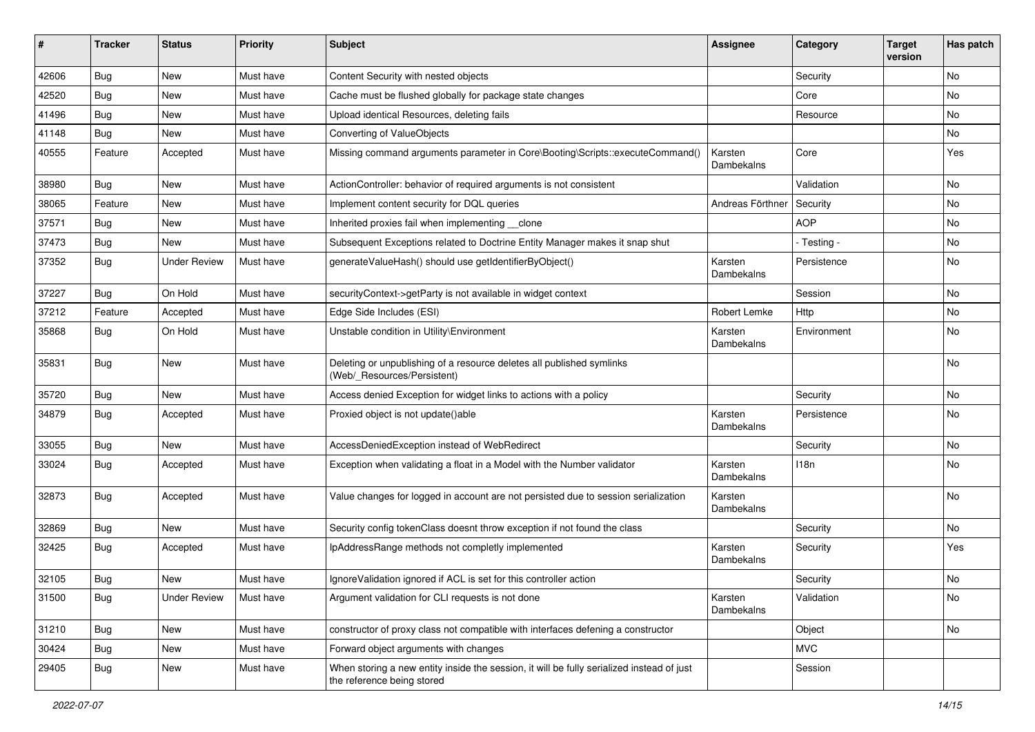| #     | <b>Tracker</b> | <b>Status</b>       | <b>Priority</b> | Subject                                                                                                                 | <b>Assignee</b>       | Category    | <b>Target</b><br>version | Has patch |
|-------|----------------|---------------------|-----------------|-------------------------------------------------------------------------------------------------------------------------|-----------------------|-------------|--------------------------|-----------|
| 42606 | <b>Bug</b>     | <b>New</b>          | Must have       | Content Security with nested objects                                                                                    |                       | Security    |                          | No        |
| 42520 | <b>Bug</b>     | New                 | Must have       | Cache must be flushed globally for package state changes                                                                |                       | Core        |                          | No        |
| 41496 | <b>Bug</b>     | New                 | Must have       | Upload identical Resources, deleting fails                                                                              |                       | Resource    |                          | No        |
| 41148 | <b>Bug</b>     | New                 | Must have       | Converting of ValueObjects                                                                                              |                       |             |                          | No        |
| 40555 | Feature        | Accepted            | Must have       | Missing command arguments parameter in Core\Booting\Scripts::executeCommand()                                           | Karsten<br>Dambekalns | Core        |                          | Yes       |
| 38980 | <b>Bug</b>     | New                 | Must have       | ActionController: behavior of required arguments is not consistent                                                      |                       | Validation  |                          | No        |
| 38065 | Feature        | New                 | Must have       | Implement content security for DQL queries                                                                              | Andreas Förthner      | Security    |                          | No        |
| 37571 | <b>Bug</b>     | New                 | Must have       | Inherited proxies fail when implementing __clone                                                                        |                       | <b>AOP</b>  |                          | No        |
| 37473 | <b>Bug</b>     | New                 | Must have       | Subsequent Exceptions related to Doctrine Entity Manager makes it snap shut                                             |                       | - Testing - |                          | No        |
| 37352 | <b>Bug</b>     | <b>Under Review</b> | Must have       | generateValueHash() should use getIdentifierByObject()                                                                  | Karsten<br>Dambekalns | Persistence |                          | No        |
| 37227 | <b>Bug</b>     | On Hold             | Must have       | securityContext->getParty is not available in widget context                                                            |                       | Session     |                          | No        |
| 37212 | Feature        | Accepted            | Must have       | Edge Side Includes (ESI)                                                                                                | Robert Lemke          | Http        |                          | No        |
| 35868 | <b>Bug</b>     | On Hold             | Must have       | Unstable condition in Utility\Environment                                                                               | Karsten<br>Dambekalns | Environment |                          | No        |
| 35831 | <b>Bug</b>     | <b>New</b>          | Must have       | Deleting or unpublishing of a resource deletes all published symlinks<br>(Web/_Resources/Persistent)                    |                       |             |                          | No        |
| 35720 | <b>Bug</b>     | <b>New</b>          | Must have       | Access denied Exception for widget links to actions with a policy                                                       |                       | Security    |                          | No        |
| 34879 | <b>Bug</b>     | Accepted            | Must have       | Proxied object is not update()able                                                                                      | Karsten<br>Dambekalns | Persistence |                          | No        |
| 33055 | <b>Bug</b>     | <b>New</b>          | Must have       | AccessDeniedException instead of WebRedirect                                                                            |                       | Security    |                          | <b>No</b> |
| 33024 | <b>Bug</b>     | Accepted            | Must have       | Exception when validating a float in a Model with the Number validator                                                  | Karsten<br>Dambekalns | 118n        |                          | No        |
| 32873 | <b>Bug</b>     | Accepted            | Must have       | Value changes for logged in account are not persisted due to session serialization                                      | Karsten<br>Dambekalns |             |                          | No        |
| 32869 | <b>Bug</b>     | <b>New</b>          | Must have       | Security config tokenClass doesnt throw exception if not found the class                                                |                       | Security    |                          | No        |
| 32425 | <b>Bug</b>     | Accepted            | Must have       | IpAddressRange methods not completly implemented                                                                        | Karsten<br>Dambekalns | Security    |                          | Yes       |
| 32105 | <b>Bug</b>     | New                 | Must have       | Ignore Validation ignored if ACL is set for this controller action                                                      |                       | Security    |                          | No        |
| 31500 | Bug            | <b>Under Review</b> | Must have       | Argument validation for CLI requests is not done                                                                        | Karsten<br>Dambekalns | Validation  |                          | No        |
| 31210 | Bug            | New                 | Must have       | constructor of proxy class not compatible with interfaces defening a constructor                                        |                       | Object      |                          | No        |
| 30424 | Bug            | New                 | Must have       | Forward object arguments with changes                                                                                   |                       | <b>MVC</b>  |                          |           |
| 29405 | <b>Bug</b>     | New                 | Must have       | When storing a new entity inside the session, it will be fully serialized instead of just<br>the reference being stored |                       | Session     |                          |           |